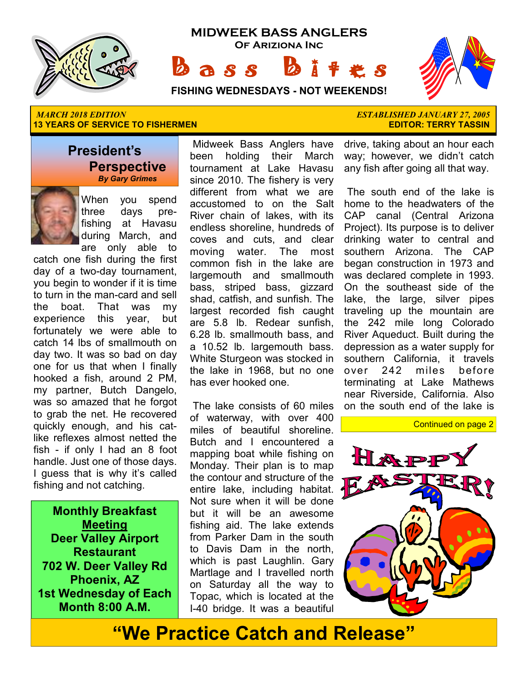



 ★ ★ ★ ★ ★ ★ ★  $\mathbb{R}$  ★ ★ ★

#### **FISHING WEDNESDAYS - NOT WEEKENDS!**

#### *MARCH 2018 EDITION ESTABLISHED JANUARY 27, 2005* **13 YEARS OF SERVICE TO FISHERMEN EXECUTE THE SERVICE OF SERVICE TO FISHERMEN**

#### **President's Perspective**   *By Gary Grimes*



When you spend three days prefishing at Havasu during March, and

are only able to catch one fish during the first day of a two-day tournament, you begin to wonder if it is time to turn in the man-card and sell the boat. That was my experience this year, but fortunately we were able to catch 14 lbs of smallmouth on day two. It was so bad on day one for us that when I finally hooked a fish, around 2 PM, my partner, Butch Dangelo, was so amazed that he forgot to grab the net. He recovered quickly enough, and his catlike reflexes almost netted the fish - if only I had an 8 foot handle. Just one of those days. I guess that is why it's called fishing and not catching.

**Monthly Breakfast Meeting Deer Valley Airport Restaurant 702 W. Deer Valley Rd Phoenix, AZ 1st Wednesday of Each Month 8:00 A.M.** 

 Midweek Bass Anglers have been holding their March tournament at Lake Havasu since 2010. The fishery is very different from what we are accustomed to on the Salt River chain of lakes, with its endless shoreline, hundreds of coves and cuts, and clear moving water. The most common fish in the lake are largemouth and smallmouth bass, striped bass, gizzard shad, catfish, and sunfish. The largest recorded fish caught are 5.8 lb. Redear sunfish, 6.28 lb. smallmouth bass, and a 10.52 lb. largemouth bass. White Sturgeon was stocked in the lake in 1968, but no one has ever hooked one.

 The lake consists of 60 miles of waterway, with over 400 miles of beautiful shoreline. Butch and I encountered a mapping boat while fishing on Monday. Their plan is to map the contour and structure of the entire lake, including habitat. Not sure when it will be done but it will be an awesome fishing aid. The lake extends from Parker Dam in the south to Davis Dam in the north, which is past Laughlin. Gary Martlage and I travelled north on Saturday all the way to Topac, which is located at the I-40 bridge. It was a beautiful

drive, taking about an hour each way; however, we didn't catch any fish after going all that way.

 The south end of the lake is home to the headwaters of the CAP canal (Central Arizona Project). Its purpose is to deliver drinking water to central and southern Arizona. The CAP began construction in 1973 and was declared complete in 1993. On the southeast side of the lake, the large, silver pipes traveling up the mountain are the 242 mile long Colorado River Aqueduct. Built during the depression as a water supply for southern California, it travels over 242 miles before terminating at Lake Mathews near Riverside, California. Also on the south end of the lake is





# **"We Practice Catch and Release"**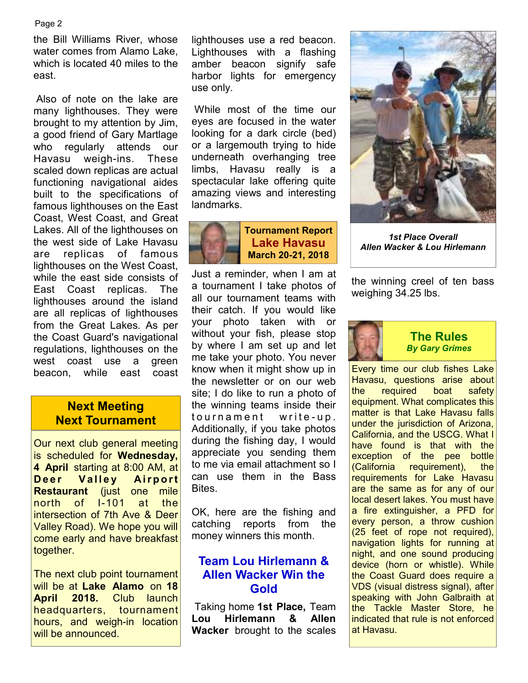#### Page 2

the Bill Williams River, whose water comes from Alamo Lake, which is located 40 miles to the east.

 Also of note on the lake are many lighthouses. They were brought to my attention by Jim, a good friend of Gary Martlage who regularly attends our Havasu weigh-ins. These scaled down replicas are actual functioning navigational aides built to the specifications of famous lighthouses on the East Coast, West Coast, and Great Lakes. All of the lighthouses on the west side of Lake Havasu are replicas of famous lighthouses on the West Coast, while the east side consists of East Coast replicas. The lighthouses around the island are all replicas of lighthouses from the Great Lakes. As per the Coast Guard's navigational regulations, lighthouses on the west coast use a green beacon, while east coast

### **Next Meeting Next Tournament**

Our next club general meeting is scheduled for **Wednesday, 4 April** starting at 8:00 AM, at **Deer Valley Airport Restaurant** (just one mile north of I-101 at the intersection of 7th Ave & Deer Valley Road). We hope you will come early and have breakfast together.

The next club point tournament will be at **Lake Alamo** on **18 April 2018.** Club launch headquarters, tournament hours, and weigh-in location will be announced.

lighthouses use a red beacon. Lighthouses with a flashing amber beacon signify safe harbor lights for emergency use only.

 While most of the time our eyes are focused in the water looking for a dark circle (bed) or a largemouth trying to hide underneath overhanging tree limbs, Havasu really is a spectacular lake offering quite amazing views and interesting landmarks.



Just a reminder, when I am at a tournament I take photos of all our tournament teams with their catch. If you would like your photo taken with or without your fish, please stop by where I am set up and let me take your photo. You never know when it might show up in the newsletter or on our web site; I do like to run a photo of the winning teams inside their to urn a m e n t write - u p. Additionally, if you take photos during the fishing day, I would appreciate you sending them to me via email attachment so I can use them in the Bass **Bites** 

OK, here are the fishing and catching reports from the money winners this month.

# **Team Lou Hirlemann & Allen Wacker Win the Gold**

 Taking home **1st Place,** Team **Lou Hirlemann & Allen Wacker** brought to the scales



*1st Place Overall Allen Wacker & Lou Hirlemann* 

the winning creel of ten bass weighing 34.25 lbs.



#### **The Rules**  *By Gary Grimes*

Every time our club fishes Lake Havasu, questions arise about the required boat safety equipment. What complicates this matter is that Lake Havasu falls under the jurisdiction of Arizona, California, and the USCG. What I have found is that with the exception of the pee bottle (California requirement), the requirements for Lake Havasu are the same as for any of our local desert lakes. You must have a fire extinguisher, a PFD for every person, a throw cushion (25 feet of rope not required), navigation lights for running at night, and one sound producing device (horn or whistle). While the Coast Guard does require a VDS (visual distress signal), after speaking with John Galbraith at the Tackle Master Store, he indicated that rule is not enforced at Havasu.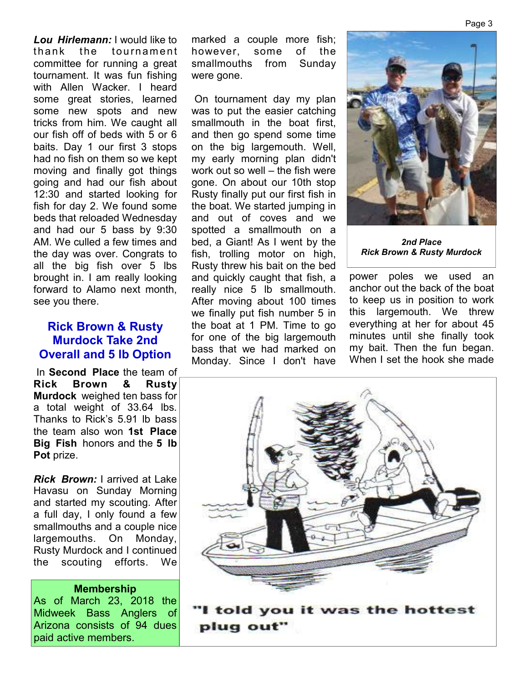*Lou Hirlemann:* I would like to thank the tournament committee for running a great tournament. It was fun fishing with Allen Wacker. I heard some great stories, learned some new spots and new tricks from him. We caught all our fish off of beds with 5 or 6 baits. Day 1 our first 3 stops had no fish on them so we kept moving and finally got things going and had our fish about 12:30 and started looking for fish for day 2. We found some beds that reloaded Wednesday and had our 5 bass by 9:30 AM. We culled a few times and the day was over. Congrats to all the big fish over 5 lbs brought in. I am really looking forward to Alamo next month, see you there.

### **Rick Brown & Rusty Murdock Take 2nd Overall and 5 lb Option**

 In **Second Place** the team of **Rick Brown & Rusty Murdock** weighed ten bass for a total weight of 33.64 lbs. Thanks to Rick's 5.91 lb bass the team also won **1st Place Big Fish** honors and the **5 lb Pot** prize.

*Rick Brown:* I arrived at Lake Havasu on Sunday Morning and started my scouting. After a full day, I only found a few smallmouths and a couple nice largemouths. On Monday, Rusty Murdock and I continued the scouting efforts. We

#### **Membership**

As of March 23, 2018 the Midweek Bass Anglers of Arizona consists of 94 dues paid active members.

marked a couple more fish; however, some of the smallmouths from Sunday were gone.

 On tournament day my plan was to put the easier catching smallmouth in the boat first, and then go spend some time on the big largemouth. Well, my early morning plan didn't work out so well – the fish were gone. On about our 10th stop Rusty finally put our first fish in the boat. We started jumping in and out of coves and we spotted a smallmouth on a bed, a Giant! As I went by the fish, trolling motor on high, Rusty threw his bait on the bed and quickly caught that fish, a really nice 5 lb smallmouth. After moving about 100 times we finally put fish number 5 in the boat at 1 PM. Time to go for one of the big largemouth bass that we had marked on Monday. Since I don't have



*2nd Place Rick Brown & Rusty Murdock*

power poles we used an anchor out the back of the boat to keep us in position to work this largemouth. We threw everything at her for about 45 minutes until she finally took my bait. Then the fun began. When I set the hook she made

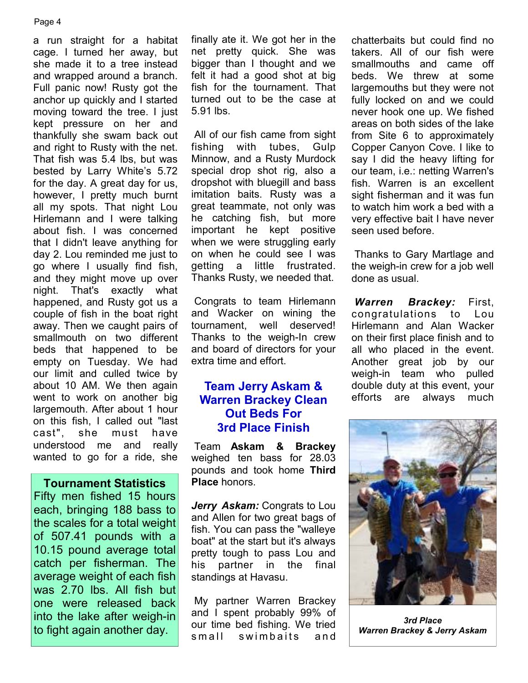#### Page 4

a run straight for a habitat cage. I turned her away, but she made it to a tree instead and wrapped around a branch. Full panic now! Rusty got the anchor up quickly and I started moving toward the tree. I just kept pressure on her and thankfully she swam back out and right to Rusty with the net. That fish was 5.4 lbs, but was bested by Larry White's 5.72 for the day. A great day for us, however, I pretty much burnt all my spots. That night Lou Hirlemann and I were talking about fish. I was concerned that I didn't leave anything for day 2. Lou reminded me just to go where I usually find fish, and they might move up over night. That's exactly what happened, and Rusty got us a couple of fish in the boat right away. Then we caught pairs of smallmouth on two different beds that happened to be empty on Tuesday. We had our limit and culled twice by about 10 AM. We then again went to work on another big largemouth. After about 1 hour on this fish, I called out "last cast", she must have understood me and really wanted to go for a ride, she

#### **Tournament Statistics**

Fifty men fished 15 hours each, bringing 188 bass to the scales for a total weight of 507.41 pounds with a 10.15 pound average total catch per fisherman. The average weight of each fish was 2.70 lbs. All fish but one were released back into the lake after weigh-in to fight again another day.

finally ate it. We got her in the net pretty quick. She was bigger than I thought and we felt it had a good shot at big fish for the tournament. That turned out to be the case at 5.91 lbs.

 All of our fish came from sight fishing with tubes, Gulp Minnow, and a Rusty Murdock special drop shot rig, also a dropshot with bluegill and bass imitation baits. Rusty was a great teammate, not only was he catching fish, but more important he kept positive when we were struggling early on when he could see I was getting a little frustrated. Thanks Rusty, we needed that.

 Congrats to team Hirlemann and Wacker on wining the tournament, well deserved! Thanks to the weigh-In crew and board of directors for your extra time and effort.

# **Team Jerry Askam & Warren Brackey Clean Out Beds For 3rd Place Finish**

 Team **Askam & Brackey**  weighed ten bass for 28.03 pounds and took home **Third Place** honors.

*Jerry Askam:* Congrats to Lou and Allen for two great bags of fish. You can pass the "walleye boat" at the start but it's always pretty tough to pass Lou and his partner in the final standings at Havasu.

 My partner Warren Brackey and I spent probably 99% of our time bed fishing. We tried small swimbaits and

chatterbaits but could find no takers. All of our fish were smallmouths and came off beds. We threw at some largemouths but they were not fully locked on and we could never hook one up. We fished areas on both sides of the lake from Site 6 to approximately Copper Canyon Cove. I like to say I did the heavy lifting for our team, i.e.: netting Warren's fish. Warren is an excellent sight fisherman and it was fun to watch him work a bed with a very effective bait I have never seen used before.

 Thanks to Gary Martlage and the weigh-in crew for a job well done as usual.

*Warren Brackey:* First, congratulations to Lou Hirlemann and Alan Wacker on their first place finish and to all who placed in the event. Another great job by our weigh-in team who pulled double duty at this event, your efforts are always much



*3rd Place Warren Brackey & Jerry Askam*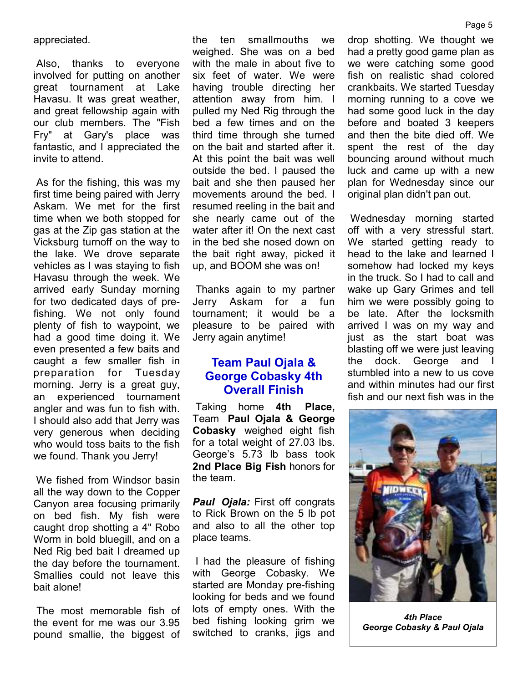appreciated.

 Also, thanks to everyone involved for putting on another great tournament at Lake Havasu. It was great weather, and great fellowship again with our club members. The "Fish Fry" at Gary's place was fantastic, and I appreciated the invite to attend.

 As for the fishing, this was my first time being paired with Jerry Askam. We met for the first time when we both stopped for gas at the Zip gas station at the Vicksburg turnoff on the way to the lake. We drove separate vehicles as I was staying to fish Havasu through the week. We arrived early Sunday morning for two dedicated days of prefishing. We not only found plenty of fish to waypoint, we had a good time doing it. We even presented a few baits and caught a few smaller fish in preparation for Tuesday morning. Jerry is a great guy, an experienced tournament angler and was fun to fish with. I should also add that Jerry was very generous when deciding who would toss baits to the fish we found. Thank you Jerry!

 We fished from Windsor basin all the way down to the Copper Canyon area focusing primarily on bed fish. My fish were caught drop shotting a 4" Robo Worm in bold bluegill, and on a Ned Rig bed bait I dreamed up the day before the tournament. Smallies could not leave this bait alone!

 The most memorable fish of the event for me was our 3.95 pound smallie, the biggest of the ten smallmouths we weighed. She was on a bed with the male in about five to six feet of water. We were having trouble directing her attention away from him. I pulled my Ned Rig through the bed a few times and on the third time through she turned on the bait and started after it. At this point the bait was well outside the bed. I paused the bait and she then paused her movements around the bed. I resumed reeling in the bait and she nearly came out of the water after it! On the next cast in the bed she nosed down on the bait right away, picked it up, and BOOM she was on!

 Thanks again to my partner Jerry Askam for a fun tournament; it would be a pleasure to be paired with Jerry again anytime!

# **Team Paul Ojala & George Cobasky 4th Overall Finish**

 Taking home **4th Place,**  Team **Paul Ojala & George Cobasky** weighed eight fish for a total weight of 27.03 lbs. George's 5.73 lb bass took **2nd Place Big Fish** honors for the team.

*Paul Ojala:* First off congrats to Rick Brown on the 5 lb pot and also to all the other top place teams.

 I had the pleasure of fishing with George Cobasky. We started are Monday pre-fishing looking for beds and we found lots of empty ones. With the bed fishing looking grim we switched to cranks, jigs and

drop shotting. We thought we had a pretty good game plan as we were catching some good fish on realistic shad colored crankbaits. We started Tuesday morning running to a cove we had some good luck in the day before and boated 3 keepers and then the bite died off. We spent the rest of the day bouncing around without much luck and came up with a new plan for Wednesday since our original plan didn't pan out.

 Wednesday morning started off with a very stressful start. We started getting ready to head to the lake and learned I somehow had locked my keys in the truck. So I had to call and wake up Gary Grimes and tell him we were possibly going to be late. After the locksmith arrived I was on my way and just as the start boat was blasting off we were just leaving the dock. George and I stumbled into a new to us cove and within minutes had our first fish and our next fish was in the



*4th Place George Cobasky & Paul Ojala*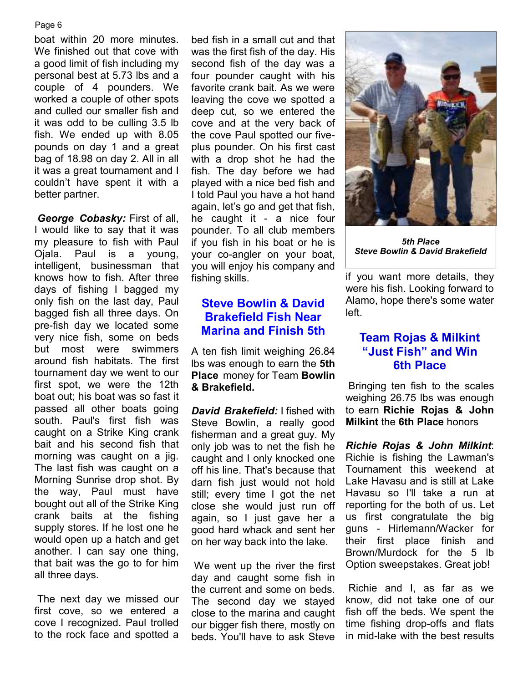#### Page 6

boat within 20 more minutes. We finished out that cove with a good limit of fish including my personal best at 5.73 lbs and a couple of 4 pounders. We worked a couple of other spots and culled our smaller fish and it was odd to be culling 3.5 lb fish. We ended up with 8.05 pounds on day 1 and a great bag of 18.98 on day 2. All in all it was a great tournament and I couldn't have spent it with a better partner.

*George Cobasky:* First of all, I would like to say that it was my pleasure to fish with Paul Ojala. Paul is a young, intelligent, businessman that knows how to fish. After three days of fishing I bagged my only fish on the last day, Paul bagged fish all three days. On pre-fish day we located some very nice fish, some on beds but most were swimmers around fish habitats. The first tournament day we went to our first spot, we were the 12th boat out; his boat was so fast it passed all other boats going south. Paul's first fish was caught on a Strike King crank bait and his second fish that morning was caught on a jig. The last fish was caught on a Morning Sunrise drop shot. By the way, Paul must have bought out all of the Strike King crank baits at the fishing supply stores. If he lost one he would open up a hatch and get another. I can say one thing, that bait was the go to for him all three days.

 The next day we missed our first cove, so we entered a cove I recognized. Paul trolled to the rock face and spotted a

bed fish in a small cut and that was the first fish of the day. His second fish of the day was a four pounder caught with his favorite crank bait. As we were leaving the cove we spotted a deep cut, so we entered the cove and at the very back of the cove Paul spotted our fiveplus pounder. On his first cast with a drop shot he had the fish. The day before we had played with a nice bed fish and I told Paul you have a hot hand again, let's go and get that fish, he caught it - a nice four pounder. To all club members if you fish in his boat or he is your co-angler on your boat, you will enjoy his company and fishing skills.

# **Steve Bowlin & David Brakefield Fish Near Marina and Finish 5th**

A ten fish limit weighing 26.84 lbs was enough to earn the **5th Place** money for Team **Bowlin & Brakefield.** 

*David Brakefield:* I fished with Steve Bowlin, a really good fisherman and a great guy. My only job was to net the fish he caught and I only knocked one off his line. That's because that darn fish just would not hold still; every time I got the net close she would just run off again, so I just gave her a good hard whack and sent her on her way back into the lake.

 We went up the river the first day and caught some fish in the current and some on beds. The second day we stayed close to the marina and caught our bigger fish there, mostly on beds. You'll have to ask Steve

![](_page_5_Picture_9.jpeg)

*5th Place Steve Bowlin & David Brakefield* 

if you want more details, they were his fish. Looking forward to Alamo, hope there's some water left.

# **Team Rojas & Milkint "Just Fish" and Win 6th Place**

 Bringing ten fish to the scales weighing 26.75 lbs was enough to earn **Richie Rojas & John Milkint** the **6th Place** honors

*Richie Rojas & John Milkint*: Richie is fishing the Lawman's Tournament this weekend at Lake Havasu and is still at Lake Havasu so I'll take a run at reporting for the both of us. Let us first congratulate the big guns - Hirlemann/Wacker for their first place finish and Brown/Murdock for the 5 lb Option sweepstakes. Great job!

 Richie and I, as far as we know, did not take one of our fish off the beds. We spent the time fishing drop-offs and flats in mid-lake with the best results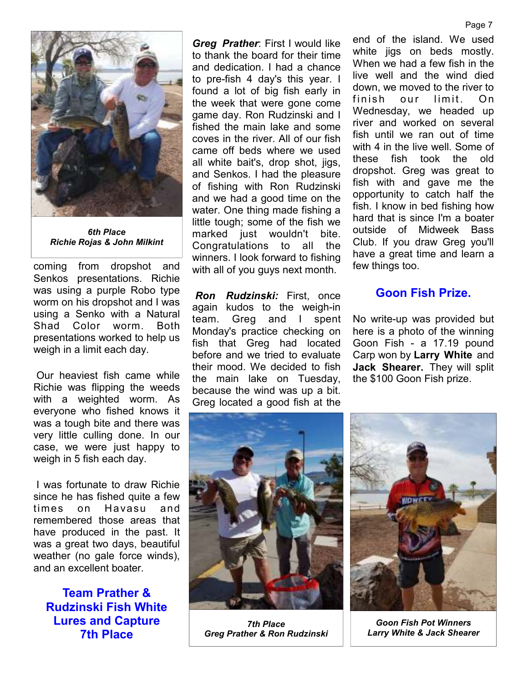![](_page_6_Picture_0.jpeg)

*6th Place Richie Rojas & John Milkint*

coming from dropshot and Senkos presentations. Richie was using a purple Robo type worm on his dropshot and I was using a Senko with a Natural Shad Color worm. Both presentations worked to help us weigh in a limit each day.

 Our heaviest fish came while Richie was flipping the weeds with a weighted worm. As everyone who fished knows it was a tough bite and there was very little culling done. In our case, we were just happy to weigh in 5 fish each day.

 I was fortunate to draw Richie since he has fished quite a few times on Havasu and remembered those areas that have produced in the past. It was a great two days, beautiful weather (no gale force winds), and an excellent boater.

**Team Prather & Rudzinski Fish White Lures and Capture 7th Place** 

*Greg Prather*: First I would like to thank the board for their time and dedication. I had a chance to pre-fish 4 day's this year. I found a lot of big fish early in the week that were gone come game day. Ron Rudzinski and I fished the main lake and some coves in the river. All of our fish came off beds where we used all white bait's, drop shot, jigs, and Senkos. I had the pleasure of fishing with Ron Rudzinski and we had a good time on the water. One thing made fishing a little tough; some of the fish we marked just wouldn't bite. Congratulations to all the winners. I look forward to fishing with all of you guys next month.

*Ron Rudzinski:* First, once again kudos to the weigh-in team. Greg and I spent Monday's practice checking on fish that Greg had located before and we tried to evaluate their mood. We decided to fish the main lake on Tuesday, because the wind was up a bit. Greg located a good fish at the

end of the island. We used white jigs on beds mostly. When we had a few fish in the live well and the wind died down, we moved to the river to finish our limit. On Wednesday, we headed up river and worked on several fish until we ran out of time with 4 in the live well. Some of these fish took the old dropshot. Greg was great to fish with and gave me the opportunity to catch half the fish. I know in bed fishing how hard that is since I'm a boater outside of Midweek Bass Club. If you draw Greg you'll have a great time and learn a few things too.

# **Goon Fish Prize.**

No write-up was provided but here is a photo of the winning Goon Fish - a 17.19 pound Carp won by **Larry White** and **Jack Shearer.** They will split the \$100 Goon Fish prize.

![](_page_6_Picture_11.jpeg)

*7th Place Greg Prather & Ron Rudzinski* 

![](_page_6_Picture_13.jpeg)

*Goon Fish Pot Winners Larry White & Jack Shearer*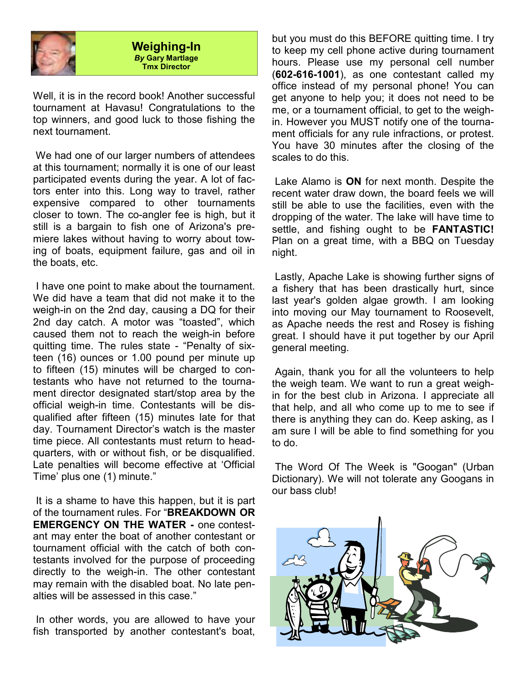![](_page_7_Picture_0.jpeg)

#### **Weighing-In**  *By* **Gary Martlage Tmx Director**

Well, it is in the record book! Another successful tournament at Havasu! Congratulations to the top winners, and good luck to those fishing the next tournament.

 We had one of our larger numbers of attendees at this tournament; normally it is one of our least participated events during the year. A lot of factors enter into this. Long way to travel, rather expensive compared to other tournaments closer to town. The co-angler fee is high, but it still is a bargain to fish one of Arizona's premiere lakes without having to worry about towing of boats, equipment failure, gas and oil in the boats, etc.

 I have one point to make about the tournament. We did have a team that did not make it to the weigh-in on the 2nd day, causing a DQ for their 2nd day catch. A motor was "toasted", which caused them not to reach the weigh-in before quitting time. The rules state - "Penalty of sixteen (16) ounces or 1.00 pound per minute up to fifteen (15) minutes will be charged to contestants who have not returned to the tournament director designated start/stop area by the official weigh-in time. Contestants will be disqualified after fifteen (15) minutes late for that day. Tournament Director's watch is the master time piece. All contestants must return to headquarters, with or without fish, or be disqualified. Late penalties will become effective at 'Official Time' plus one (1) minute."

 It is a shame to have this happen, but it is part of the tournament rules. For "**BREAKDOWN OR EMERGENCY ON THE WATER -** one contestant may enter the boat of another contestant or tournament official with the catch of both contestants involved for the purpose of proceeding directly to the weigh-in. The other contestant may remain with the disabled boat. No late penalties will be assessed in this case."

 In other words, you are allowed to have your fish transported by another contestant's boat,

but you must do this BEFORE quitting time. I try to keep my cell phone active during tournament hours. Please use my personal cell number (**602-616-1001**), as one contestant called my office instead of my personal phone! You can get anyone to help you; it does not need to be me, or a tournament official, to get to the weighin. However you MUST notify one of the tournament officials for any rule infractions, or protest. You have 30 minutes after the closing of the scales to do this.

 Lake Alamo is **ON** for next month. Despite the recent water draw down, the board feels we will still be able to use the facilities, even with the dropping of the water. The lake will have time to settle, and fishing ought to be **FANTASTIC!** Plan on a great time, with a BBQ on Tuesday night.

 Lastly, Apache Lake is showing further signs of a fishery that has been drastically hurt, since last year's golden algae growth. I am looking into moving our May tournament to Roosevelt, as Apache needs the rest and Rosey is fishing great. I should have it put together by our April general meeting.

 Again, thank you for all the volunteers to help the weigh team. We want to run a great weighin for the best club in Arizona. I appreciate all that help, and all who come up to me to see if there is anything they can do. Keep asking, as I am sure I will be able to find something for you to do.

 The Word Of The Week is "Googan" (Urban Dictionary). We will not tolerate any Googans in our bass club!

![](_page_7_Picture_12.jpeg)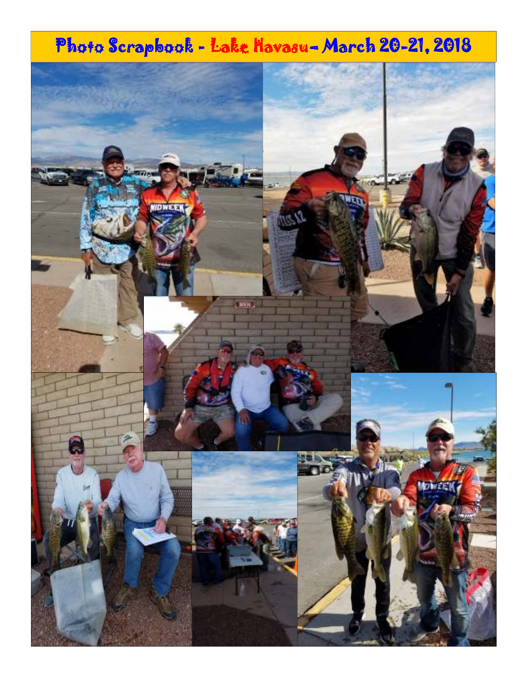# Photo Scrapbook - Lake Havasu-March 20-21, 2018

![](_page_8_Picture_1.jpeg)